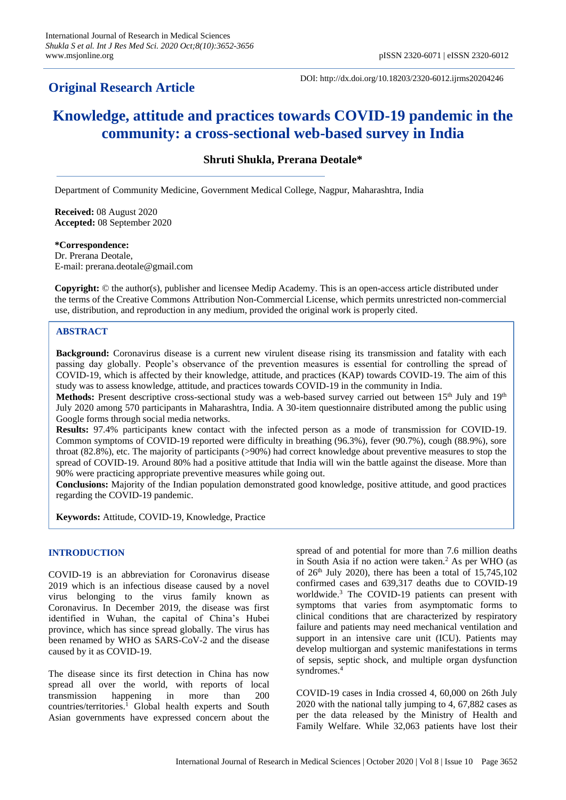# **Original Research Article**

DOI: http://dx.doi.org/10.18203/2320-6012.ijrms20204246

# **Knowledge, attitude and practices towards COVID-19 pandemic in the community: a cross-sectional web-based survey in India**

**Shruti Shukla, Prerana Deotale\***

Department of Community Medicine, Government Medical College, Nagpur, Maharashtra, India

**Received:** 08 August 2020 **Accepted:** 08 September 2020

**\*Correspondence:**

Dr. Prerana Deotale, E-mail: prerana.deotale@gmail.com

**Copyright:** © the author(s), publisher and licensee Medip Academy. This is an open-access article distributed under the terms of the Creative Commons Attribution Non-Commercial License, which permits unrestricted non-commercial use, distribution, and reproduction in any medium, provided the original work is properly cited.

# **ABSTRACT**

**Background:** Coronavirus disease is a current new virulent disease rising its transmission and fatality with each passing day globally. People's observance of the prevention measures is essential for controlling the spread of COVID-19, which is affected by their knowledge, attitude, and practices (KAP) towards COVID-19. The aim of this study was to assess knowledge, attitude, and practices towards COVID-19 in the community in India.

Methods: Present descriptive cross-sectional study was a web-based survey carried out between 15<sup>th</sup> July and 19<sup>th</sup> July 2020 among 570 participants in Maharashtra, India. A 30-item questionnaire distributed among the public using Google forms through social media networks.

**Results:** 97.4% participants knew contact with the infected person as a mode of transmission for COVID-19. Common symptoms of COVID-19 reported were difficulty in breathing (96.3%), fever (90.7%), cough (88.9%), sore throat (82.8%), etc. The majority of participants (>90%) had correct knowledge about preventive measures to stop the spread of COVID-19. Around 80% had a positive attitude that India will win the battle against the disease. More than 90% were practicing appropriate preventive measures while going out.

**Conclusions:** Majority of the Indian population demonstrated good knowledge, positive attitude, and good practices regarding the COVID-19 pandemic.

**Keywords:** Attitude, COVID-19, Knowledge, Practice

#### **INTRODUCTION**

COVID-19 is an abbreviation for Coronavirus disease 2019 which is an infectious disease caused by a novel virus belonging to the virus family known as Coronavirus. In December 2019, the disease was first identified in Wuhan, the capital of China's Hubei province, which has since spread globally. The virus has been renamed by WHO as SARS-CoV-2 and the disease caused by it as COVID-19.

The disease since its first detection in China has now spread all over the world, with reports of local transmission happening in more than 200 countries/territories.<sup>1</sup> Global health experts and South Asian governments have expressed concern about the

spread of and potential for more than 7.6 million deaths in South Asia if no action were taken.<sup>2</sup> As per WHO (as of  $26<sup>th</sup>$  July 2020), there has been a total of  $15,745,102$ confirmed cases and 639,317 deaths due to COVID-19 worldwide.<sup>3</sup> The COVID-19 patients can present with symptoms that varies from asymptomatic forms to clinical conditions that are characterized by respiratory failure and patients may need mechanical ventilation and support in an intensive care unit (ICU). Patients may develop multiorgan and systemic manifestations in terms of sepsis, septic shock, and multiple organ dysfunction syndromes.<sup>4</sup>

COVID-19 cases in India crossed 4, 60,000 on 26th July 2020 with the national tally jumping to 4, 67,882 cases as per the data released by the Ministry of Health and Family Welfare. While 32,063 patients have lost their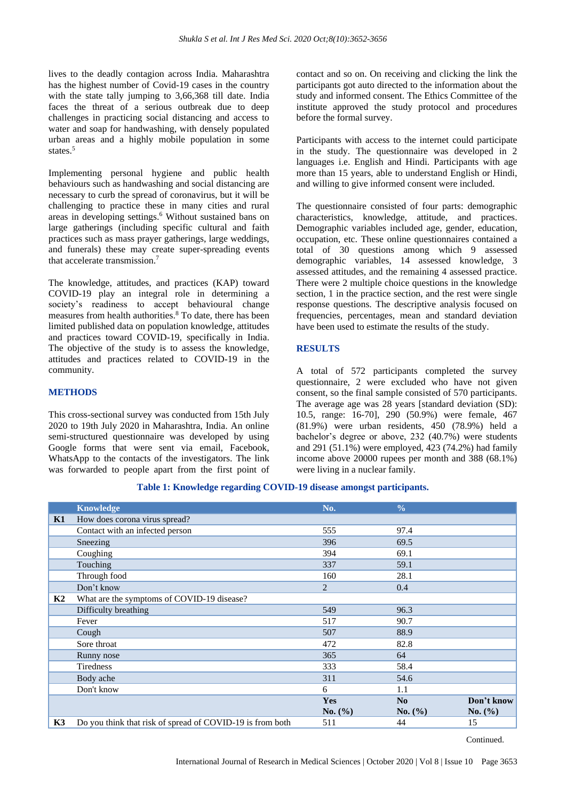lives to the deadly contagion across India. Maharashtra has the highest number of Covid-19 cases in the country with the state tally jumping to 3,66,368 till date. India faces the threat of a serious outbreak due to deep challenges in practicing social distancing and access to water and soap for handwashing, with densely populated urban areas and a highly mobile population in some states.<sup>5</sup>

Implementing personal hygiene and public health behaviours such as handwashing and social distancing are necessary to curb the spread of coronavirus, but it will be challenging to practice these in many cities and rural areas in developing settings.<sup>6</sup> Without sustained bans on large gatherings (including specific cultural and faith practices such as mass prayer gatherings, large weddings, and funerals) these may create super-spreading events that accelerate transmission. 7

The knowledge, attitudes, and practices (KAP) toward COVID-19 play an integral role in determining a society's readiness to accept behavioural change measures from health authorities.<sup>8</sup> To date, there has been limited published data on population knowledge, attitudes and practices toward COVID-19, specifically in India. The objective of the study is to assess the knowledge, attitudes and practices related to COVID-19 in the community.

# **METHODS**

This cross-sectional survey was conducted from 15th July 2020 to 19th July 2020 in Maharashtra, India. An online semi-structured questionnaire was developed by using Google forms that were sent via email, Facebook, WhatsApp to the contacts of the investigators. The link was forwarded to people apart from the first point of contact and so on. On receiving and clicking the link the participants got auto directed to the information about the study and informed consent. The Ethics Committee of the institute approved the study protocol and procedures before the formal survey.

Participants with access to the internet could participate in the study. The questionnaire was developed in 2 languages i.e. English and Hindi. Participants with age more than 15 years, able to understand English or Hindi, and willing to give informed consent were included.

The questionnaire consisted of four parts: demographic characteristics, knowledge, attitude, and practices. Demographic variables included age, gender, education, occupation, etc. These online questionnaires contained a total of 30 questions among which 9 assessed demographic variables, 14 assessed knowledge, 3 assessed attitudes, and the remaining 4 assessed practice. There were 2 multiple choice questions in the knowledge section, 1 in the practice section, and the rest were single response questions. The descriptive analysis focused on frequencies, percentages, mean and standard deviation have been used to estimate the results of the study.

# **RESULTS**

A total of 572 participants completed the survey questionnaire, 2 were excluded who have not given consent, so the final sample consisted of 570 participants. The average age was 28 years [standard deviation (SD): 10.5, range: 16-70], 290 (50.9%) were female, 467 (81.9%) were urban residents, 450 (78.9%) held a bachelor's degree or above, 232 (40.7%) were students and 291 (51.1%) were employed, 423 (74.2%) had family income above 20000 rupees per month and 388 (68.1%) were living in a nuclear family.

|    | <b>Knowledge</b>                                          | No.            | $\frac{0}{0}$ |             |
|----|-----------------------------------------------------------|----------------|---------------|-------------|
| K1 | How does corona virus spread?                             |                |               |             |
|    | Contact with an infected person                           | 555            | 97.4          |             |
|    | Sneezing                                                  | 396            | 69.5          |             |
|    | Coughing                                                  | 394            | 69.1          |             |
|    | Touching                                                  | 337            | 59.1          |             |
|    | Through food                                              | 160            | 28.1          |             |
|    | Don't know                                                | $\overline{2}$ | 0.4           |             |
| K2 | What are the symptoms of COVID-19 disease?                |                |               |             |
|    | Difficulty breathing                                      | 549            | 96.3          |             |
|    | Fever                                                     | 517            | 90.7          |             |
|    | Cough                                                     | 507            | 88.9          |             |
|    | Sore throat                                               | 472            | 82.8          |             |
|    | Runny nose                                                | 365            | 64            |             |
|    | <b>Tiredness</b>                                          | 333            | 58.4          |             |
|    | Body ache                                                 | 311            | 54.6          |             |
|    | Don't know                                                | 6              | 1.1           |             |
|    |                                                           | <b>Yes</b>     | No            | Don't know  |
|    |                                                           | No. (%)        | No. $(\% )$   | No. $(\% )$ |
| K3 | Do you think that risk of spread of COVID-19 is from both | 511            | 44            | 15          |

#### **Table 1: Knowledge regarding COVID-19 disease amongst participants.**

Continued.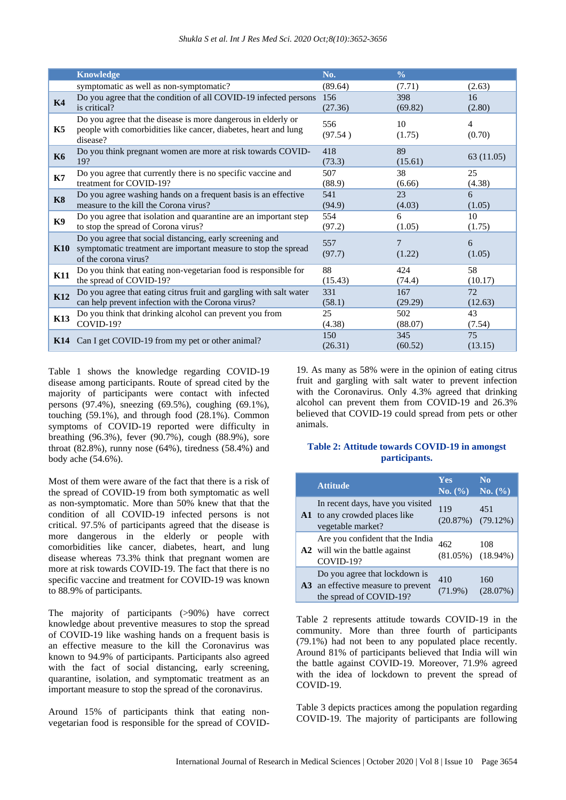|                | <b>Knowledge</b>                                                                                                                                   | No.            | $\frac{0}{0}$  |               |
|----------------|----------------------------------------------------------------------------------------------------------------------------------------------------|----------------|----------------|---------------|
|                | symptomatic as well as non-symptomatic?                                                                                                            | (89.64)        | (7.71)         | (2.63)        |
| K <sub>4</sub> | Do you agree that the condition of all COVID-19 infected persons                                                                                   | 156            | 398            | 16            |
|                | is critical?                                                                                                                                       | (27.36)        | (69.82)        | (2.80)        |
| K5             | Do you agree that the disease is more dangerous in elderly or<br>people with comorbidities like cancer, diabetes, heart and lung<br>disease?       | 556<br>(97.54) | 10<br>(1.75)   | 4<br>(0.70)   |
| <b>K6</b>      | Do you think pregnant women are more at risk towards COVID-<br>19?                                                                                 | 418<br>(73.3)  | 89<br>(15.61)  | 63 (11.05)    |
| <b>K7</b>      | Do you agree that currently there is no specific vaccine and                                                                                       | 507            | 38             | 25            |
|                | treatment for COVID-19?                                                                                                                            | (88.9)         | (6.66)         | (4.38)        |
| <b>K8</b>      | Do you agree washing hands on a frequent basis is an effective                                                                                     | 541            | 23             | 6             |
|                | measure to the kill the Corona virus?                                                                                                              | (94.9)         | (4.03)         | (1.05)        |
| <b>K9</b>      | Do you agree that isolation and quarantine are an important step                                                                                   | 554            | 6              | 10            |
|                | to stop the spread of Corona virus?                                                                                                                | (97.2)         | (1.05)         | (1.75)        |
| K10            | Do you agree that social distancing, early screening and<br>symptomatic treatment are important measure to stop the spread<br>of the corona virus? | 557<br>(97.7)  | 7<br>(1.22)    | 6<br>(1.05)   |
| <b>K11</b>     | Do you think that eating non-vegetarian food is responsible for                                                                                    | 88             | 424            | 58            |
|                | the spread of COVID-19?                                                                                                                            | (15.43)        | (74.4)         | (10.17)       |
| <b>K12</b>     | Do you agree that eating citrus fruit and gargling with salt water                                                                                 | 331            | 167            | 72            |
|                | can help prevent infection with the Corona virus?                                                                                                  | (58.1)         | (29.29)        | (12.63)       |
| <b>K13</b>     | Do you think that drinking alcohol can prevent you from                                                                                            | 25             | 502            | 43            |
|                | COVID-19?                                                                                                                                          | (4.38)         | (88.07)        | (7.54)        |
| K14            | Can I get COVID-19 from my pet or other animal?                                                                                                    | 150<br>(26.31) | 345<br>(60.52) | 75<br>(13.15) |

Table 1 shows the knowledge regarding COVID-19 disease among participants. Route of spread cited by the majority of participants were contact with infected persons (97.4%), sneezing (69.5%), coughing (69.1%), touching (59.1%), and through food (28.1%). Common symptoms of COVID-19 reported were difficulty in breathing (96.3%), fever (90.7%), cough (88.9%), sore throat  $(82.8\%)$ , runny nose  $(64\%)$ , tiredness  $(58.4\%)$  and body ache (54.6%).

Most of them were aware of the fact that there is a risk of the spread of COVID-19 from both symptomatic as well as non-symptomatic. More than 50% knew that that the condition of all COVID-19 infected persons is not critical. 97.5% of participants agreed that the disease is more dangerous in the elderly or people with comorbidities like cancer, diabetes, heart, and lung disease whereas 73.3% think that pregnant women are more at risk towards COVID-19. The fact that there is no specific vaccine and treatment for COVID-19 was known to 88.9% of participants.

The majority of participants (>90%) have correct knowledge about preventive measures to stop the spread of COVID-19 like washing hands on a frequent basis is an effective measure to the kill the Coronavirus was known to 94.9% of participants. Participants also agreed with the fact of social distancing, early screening, quarantine, isolation, and symptomatic treatment as an important measure to stop the spread of the coronavirus.

Around 15% of participants think that eating nonvegetarian food is responsible for the spread of COVID- 19. As many as 58% were in the opinion of eating citrus fruit and gargling with salt water to prevent infection with the Coronavirus. Only 4.3% agreed that drinking alcohol can prevent them from COVID-19 and 26.3% believed that COVID-19 could spread from pets or other animals.

# **Table 2: Attitude towards COVID-19 in amongst participants.**

| <b>Attitude</b>                                                                                | <b>Yes</b><br>No. (%)          | N <sub>0</sub><br>No. (%) |
|------------------------------------------------------------------------------------------------|--------------------------------|---------------------------|
| In recent days, have you visited<br><b>A1</b> to any crowded places like<br>vegetable market?  | 119<br>$(20.87%)$ $(79.12%)$   | 451                       |
| Are you confident that the India<br>A2 will win the battle against<br>COVID-19?                | 462<br>$(81.05\%)$ $(18.94\%)$ | 108                       |
| Do you agree that lockdown is<br>A3 an effective measure to prevent<br>the spread of COVID-19? | 410<br>$(71.9\%)$              | 160<br>(28.07%)           |

Table 2 represents attitude towards COVID-19 in the community. More than three fourth of participants (79.1%) had not been to any populated place recently. Around 81% of participants believed that India will win the battle against COVID-19. Moreover, 71.9% agreed with the idea of lockdown to prevent the spread of COVID-19.

Table 3 depicts practices among the population regarding COVID-19. The majority of participants are following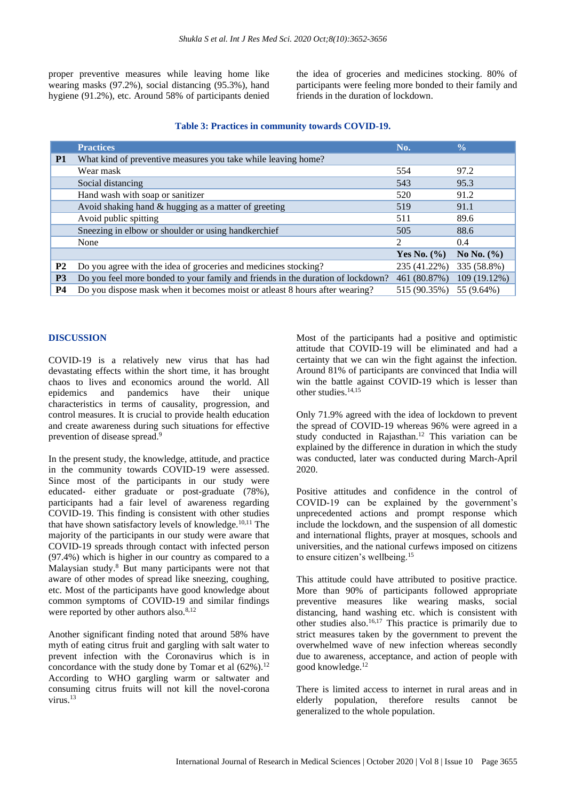proper preventive measures while leaving home like wearing masks (97.2%), social distancing (95.3%), hand hygiene (91.2%), etc. Around 58% of participants denied the idea of groceries and medicines stocking. 80% of participants were feeling more bonded to their family and friends in the duration of lockdown.

|                | <b>Practices</b>                                                                | No.             | $\frac{0}{0}$  |
|----------------|---------------------------------------------------------------------------------|-----------------|----------------|
| <b>P1</b>      | What kind of preventive measures you take while leaving home?                   |                 |                |
|                | Wear mask                                                                       | 554             | 97.2           |
|                | Social distancing                                                               | 543             | 95.3           |
|                | Hand wash with soap or sanitizer                                                | 520             | 91.2           |
|                | Avoid shaking hand $&$ hugging as a matter of greeting                          | 519             | 91.1           |
|                | Avoid public spitting                                                           | 511             | 89.6           |
|                | Sneezing in elbow or shoulder or using handkerchief                             | 505             | 88.6           |
|                | None                                                                            | $\mathfrak{D}$  | 0.4            |
|                |                                                                                 | Yes No. $(\% )$ | No No. $(\% )$ |
| <b>P2</b>      | Do you agree with the idea of groceries and medicines stocking?                 | 235 (41.22%)    | 335 (58.8%)    |
| P <sub>3</sub> | Do you feel more bonded to your family and friends in the duration of lockdown? | 461 (80.87%)    | 109 (19.12%)   |
| <b>P4</b>      | Do you dispose mask when it becomes moist or atleast 8 hours after wearing?     | 515 (90.35%)    | 55 (9.64%)     |

# **DISCUSSION**

COVID-19 is a relatively new virus that has had devastating effects within the short time, it has brought chaos to lives and economics around the world. All epidemics and pandemics have their unique characteristics in terms of causality, progression, and control measures. It is crucial to provide health education and create awareness during such situations for effective prevention of disease spread.<sup>9</sup>

In the present study, the knowledge, attitude, and practice in the community towards COVID-19 were assessed. Since most of the participants in our study were educated- either graduate or post-graduate (78%), participants had a fair level of awareness regarding COVID-19. This finding is consistent with other studies that have shown satisfactory levels of knowledge.10,11 The majority of the participants in our study were aware that COVID-19 spreads through contact with infected person (97.4%) which is higher in our country as compared to a Malaysian study.<sup>8</sup> But many participants were not that aware of other modes of spread like sneezing, coughing, etc. Most of the participants have good knowledge about common symptoms of COVID-19 and similar findings were reported by other authors also. $8,12$ 

Another significant finding noted that around 58% have myth of eating citrus fruit and gargling with salt water to prevent infection with the Coronavirus which is in concordance with the study done by Tomar et al  $(62\%)$ .<sup>12</sup> According to WHO gargling warm or saltwater and consuming citrus fruits will not kill the novel-corona virus.<sup>13</sup>

Most of the participants had a positive and optimistic attitude that COVID-19 will be eliminated and had a certainty that we can win the fight against the infection. Around 81% of participants are convinced that India will win the battle against COVID-19 which is lesser than other studies.14,15

Only 71.9% agreed with the idea of lockdown to prevent the spread of COVID-19 whereas 96% were agreed in a study conducted in Rajasthan.<sup>12</sup> This variation can be explained by the difference in duration in which the study was conducted, later was conducted during March-April 2020.

Positive attitudes and confidence in the control of COVID-19 can be explained by the government's unprecedented actions and prompt response which include the lockdown, and the suspension of all domestic and international flights, prayer at mosques, schools and universities, and the national curfews imposed on citizens to ensure citizen's wellbeing.<sup>15</sup>

This attitude could have attributed to positive practice. More than 90% of participants followed appropriate preventive measures like wearing masks, social distancing, hand washing etc. which is consistent with other studies also.16,17 This practice is primarily due to strict measures taken by the government to prevent the overwhelmed wave of new infection whereas secondly due to awareness, acceptance, and action of people with good knowledge.<sup>12</sup>

There is limited access to internet in rural areas and in elderly population, therefore results cannot be generalized to the whole population.